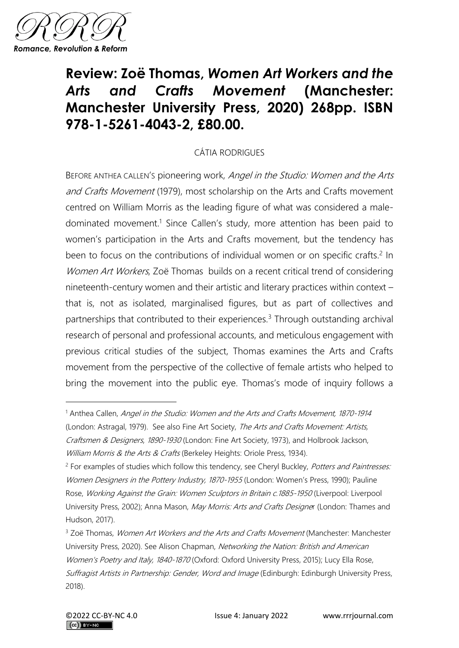

## **Review: Zoë Thomas,** *Women Art Workers and the Arts and Crafts Movement* **(Manchester: Manchester University Press, 2020) 268pp. ISBN 978-1-5261-4043-2, £80.00.**

## CÁTIA RODRIGUES

BEFORE ANTHEA CALLEN'S pioneering work, Angel in the Studio: Women and the Arts and Crafts Movement (1979), most scholarship on the Arts and Crafts movement centred on William Morris as the leading figure of what was considered a maledominated movement.<sup>1</sup> Since Callen's study, more attention has been paid to women's participation in the Arts and Crafts movement, but the tendency has been to focus on the contributions of individual women or on specific crafts.<sup>2</sup> In Women Art Workers, Zoë Thomas builds on a recent critical trend of considering nineteenth-century women and their artistic and literary practices within context – that is, not as isolated, marginalised figures, but as part of collectives and partnerships that contributed to their experiences.<sup>3</sup> Through outstanding archival research of personal and professional accounts, and meticulous engagement with previous critical studies of the subject, Thomas examines the Arts and Crafts movement from the perspective of the collective of female artists who helped to bring the movement into the public eye. Thomas's mode of inquiry follows a

<sup>&</sup>lt;sup>1</sup> Anthea Callen, *Angel in the Studio: Women and the Arts and Crafts Movement, 1870-1914* (London: Astragal, 1979). See also Fine Art Society, The Arts and Crafts Movement: Artists, Craftsmen & Designers, 1890-1930 (London: Fine Art Society, 1973), and Holbrook Jackson, William Morris & the Arts & Crafts (Berkeley Heights: Oriole Press, 1934).

<sup>&</sup>lt;sup>2</sup> For examples of studies which follow this tendency, see Cheryl Buckley, *Potters and Paintresses:* Women Designers in the Pottery Industry, 1870-1955 (London: Women's Press, 1990); Pauline Rose, Working Against the Grain: Women Sculptors in Britain c.1885-1950 (Liverpool: Liverpool University Press, 2002); Anna Mason, May Morris: Arts and Crafts Designer (London: Thames and Hudson, 2017).

<sup>&</sup>lt;sup>3</sup> Zoë Thomas, *Women Art Workers and the Arts and Crafts Movement* (Manchester: Manchester University Press, 2020). See Alison Chapman, Networking the Nation: British and American Women's Poetry and Italy, 1840-1870 (Oxford: Oxford University Press, 2015); Lucy Ella Rose, Suffragist Artists in Partnership: Gender, Word and Image (Edinburgh: Edinburgh University Press, 2018).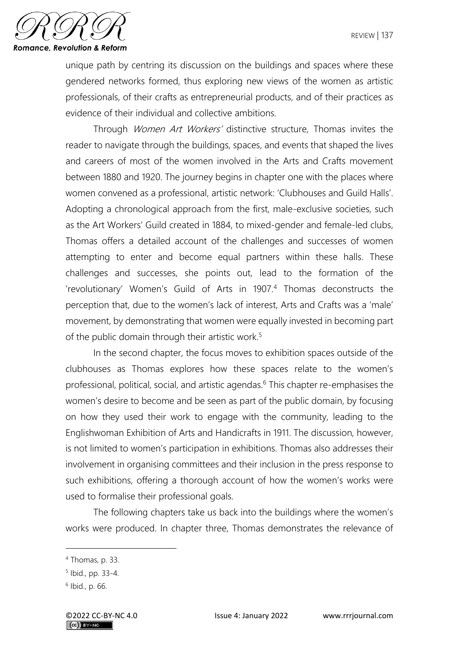

unique path by centring its discussion on the buildings and spaces where these gendered networks formed, thus exploring new views of the women as artistic professionals, of their crafts as entrepreneurial products, and of their practices as evidence of their individual and collective ambitions.

Through *Women Art Workers'* distinctive structure, Thomas invites the reader to navigate through the buildings, spaces, and events that shaped the lives and careers of most of the women involved in the Arts and Crafts movement between 1880 and 1920. The journey begins in chapter one with the places where women convened as a professional, artistic network: 'Clubhouses and Guild Halls'. Adopting a chronological approach from the first, male-exclusive societies, such as the Art Workers' Guild created in 1884, to mixed-gender and female-led clubs, Thomas offers a detailed account of the challenges and successes of women attempting to enter and become equal partners within these halls. These challenges and successes, she points out, lead to the formation of the 'revolutionary' Women's Guild of Arts in 1907.<sup>4</sup> Thomas deconstructs the perception that, due to the women's lack of interest, Arts and Crafts was a 'male' movement, by demonstrating that women were equally invested in becoming part of the public domain through their artistic work.<sup>5</sup>

In the second chapter, the focus moves to exhibition spaces outside of the clubhouses as Thomas explores how these spaces relate to the women's professional, political, social, and artistic agendas. <sup>6</sup> This chapter re-emphasises the women's desire to become and be seen as part of the public domain, by focusing on how they used their work to engage with the community, leading to the Englishwoman Exhibition of Arts and Handicrafts in 1911. The discussion, however, is not limited to women's participation in exhibitions. Thomas also addresses their involvement in organising committees and their inclusion in the press response to such exhibitions, offering a thorough account of how the women's works were used to formalise their professional goals.

The following chapters take us back into the buildings where the women's works were produced. In chapter three, Thomas demonstrates the relevance of

<sup>4</sup> Thomas, p. 33.

<sup>5</sup> Ibid., pp. 33-4.

<sup>6</sup> Ibid., p. 66.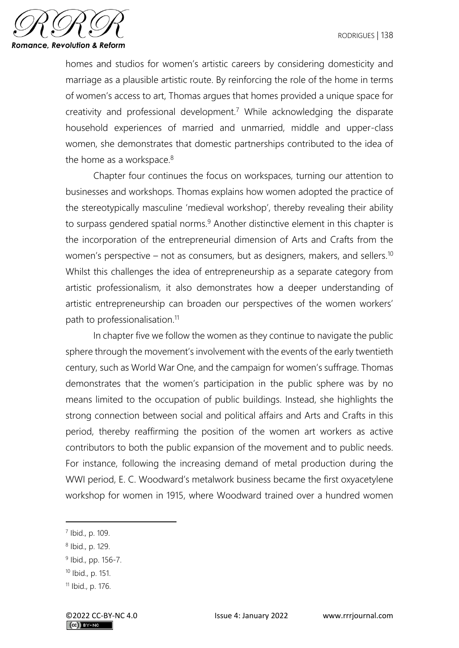

homes and studios for women's artistic careers by considering domesticity and marriage as a plausible artistic route. By reinforcing the role of the home in terms of women's access to art, Thomas argues that homes provided a unique space for creativity and professional development.<sup>7</sup> While acknowledging the disparate household experiences of married and unmarried, middle and upper-class women, she demonstrates that domestic partnerships contributed to the idea of the home as a workspace. $8$ 

Chapter four continues the focus on workspaces, turning our attention to businesses and workshops. Thomas explains how women adopted the practice of the stereotypically masculine 'medieval workshop', thereby revealing their ability to surpass gendered spatial norms.<sup>9</sup> Another distinctive element in this chapter is the incorporation of the entrepreneurial dimension of Arts and Crafts from the women's perspective – not as consumers, but as designers, makers, and sellers.<sup>10</sup> Whilst this challenges the idea of entrepreneurship as a separate category from artistic professionalism, it also demonstrates how a deeper understanding of artistic entrepreneurship can broaden our perspectives of the women workers' path to professionalisation.<sup>11</sup>

In chapter five we follow the women as they continue to navigate the public sphere through the movement's involvement with the events of the early twentieth century, such as World War One, and the campaign for women's suffrage. Thomas demonstrates that the women's participation in the public sphere was by no means limited to the occupation of public buildings. Instead, she highlights the strong connection between social and political affairs and Arts and Crafts in this period, thereby reaffirming the position of the women art workers as active contributors to both the public expansion of the movement and to public needs. For instance, following the increasing demand of metal production during the WWI period, E. C. Woodward's metalwork business became the first oxyacetylene workshop for women in 1915, where Woodward trained over a hundred women

<sup>7</sup> Ibid., p. 109.

<sup>8</sup> Ibid., p. 129.

<sup>&</sup>lt;sup>9</sup> Ibid., pp. 156-7.

<sup>10</sup> Ibid., p. 151.

<sup>11</sup> Ibid., p. 176.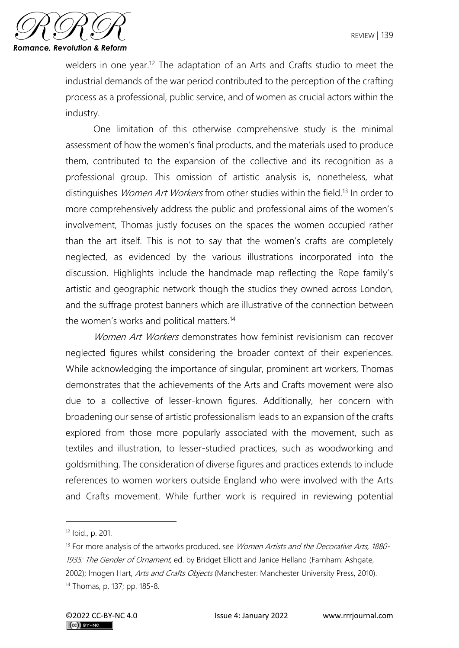

welders in one year.<sup>12</sup> The adaptation of an Arts and Crafts studio to meet the industrial demands of the war period contributed to the perception of the crafting process as a professional, public service, and of women as crucial actors within the industry.

One limitation of this otherwise comprehensive study is the minimal assessment of how the women's final products, and the materials used to produce them, contributed to the expansion of the collective and its recognition as a professional group. This omission of artistic analysis is, nonetheless, what distinguishes Women Art Workers from other studies within the field.<sup>13</sup> In order to more comprehensively address the public and professional aims of the women's involvement, Thomas justly focuses on the spaces the women occupied rather than the art itself. This is not to say that the women's crafts are completely neglected, as evidenced by the various illustrations incorporated into the discussion. Highlights include the handmade map reflecting the Rope family's artistic and geographic network though the studios they owned across London, and the suffrage protest banners which are illustrative of the connection between the women's works and political matters.<sup>14</sup>

Women Art Workers demonstrates how feminist revisionism can recover neglected figures whilst considering the broader context of their experiences. While acknowledging the importance of singular, prominent art workers, Thomas demonstrates that the achievements of the Arts and Crafts movement were also due to a collective of lesser-known figures. Additionally, her concern with broadening our sense of artistic professionalism leads to an expansion of the crafts explored from those more popularly associated with the movement, such as textiles and illustration, to lesser-studied practices, such as woodworking and goldsmithing. The consideration of diverse figures and practices extends to include references to women workers outside England who were involved with the Arts and Crafts movement. While further work is required in reviewing potential

 $12$  Ibid., p. 201.

 $13$  For more analysis of the artworks produced, see *Women Artists and the Decorative Arts, 1880-*1935: The Gender of Ornament, ed. by Bridget Elliott and Janice Helland (Farnham: Ashgate, 2002); Imogen Hart, Arts and Crafts Objects (Manchester: Manchester University Press, 2010). <sup>14</sup> Thomas, p. 137; pp. 185-8.